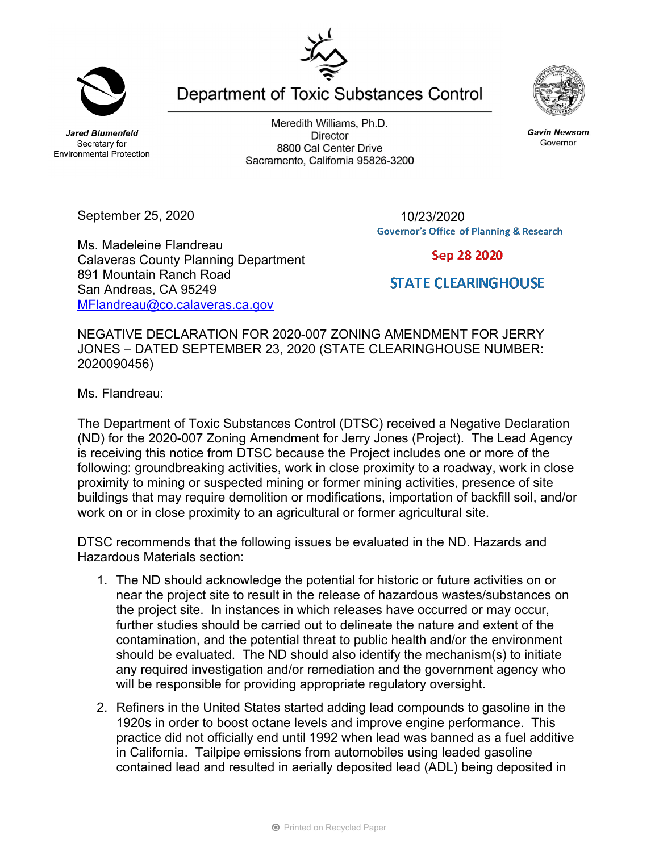**Jared Blumenfeld** Secretary for **Environmental Protection** 

September 25, 2020

Ms. Madeleine Flandreau

891 Mountain Ranch Road San Andreas, CA 95249

Calaveras County Planning Department

MFlandreau@co.calaveras.ca.gov

Meredith Williams, Ph.D. **Director** 8800 Cal Center Drive Sacramento, California 95826-3200

Department of Toxic Substances Control

10/23/2020**Governor's Office of Planning & Research** 

Sep 28 2020

## **STATE CLEARINGHOUSE**

NEGATIVE DECLARATION FOR 2020-007 ZONING AMENDMENT FOR JERRY JONES – DATED SEPTEMBER 23, 2020 (STATE CLEARINGHOUSE NUMBER: 2020090456)

Ms. Flandreau:

The Department of Toxic Substances Control (DTSC) received a Negative Declaration (ND) for the 2020-007 Zoning Amendment for Jerry Jones (Project). The Lead Agency is receiving this notice from DTSC because the Project includes one or more of the following: groundbreaking activities, work in close proximity to a roadway, work in close proximity to mining or suspected mining or former mining activities, presence of site buildings that may require demolition or modifications, importation of backfill soil, and/or work on or in close proximity to an agricultural or former agricultural site.

DTSC recommends that the following issues be evaluated in the ND. Hazards and Hazardous Materials section:

- 1. The ND should acknowledge the potential for historic or future activities on or near the project site to result in the release of hazardous wastes/substances on the project site. In instances in which releases have occurred or may occur, further studies should be carried out to delineate the nature and extent of the contamination, and the potential threat to public health and/or the environment should be evaluated. The ND should also identify the mechanism(s) to initiate any required investigation and/or remediation and the government agency who will be responsible for providing appropriate regulatory oversight.
- 2. Refiners in the United States started adding lead compounds to gasoline in the 1920s in order to boost octane levels and improve engine performance. This practice did not officially end until 1992 when lead was banned as a fuel additive in California. Tailpipe emissions from automobiles using leaded gasoline contained lead and resulted in aerially deposited lead (ADL) being deposited in





**Gavin Newsom** Governor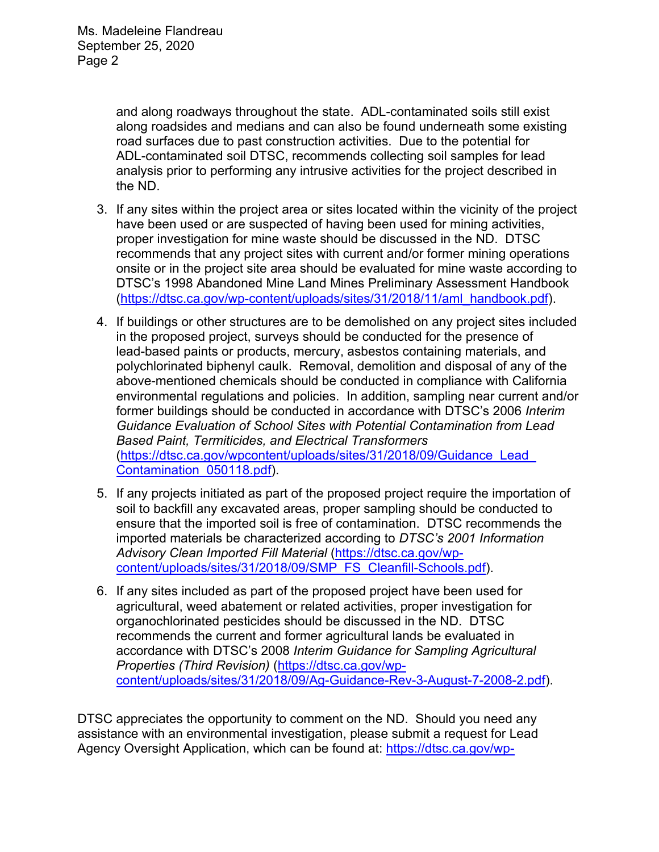and along roadways throughout the state. ADL-contaminated soils still exist along roadsides and medians and can also be found underneath some existing road surfaces due to past construction activities. Due to the potential for ADL-contaminated soil DTSC, recommends collecting soil samples for lead analysis prior to performing any intrusive activities for the project described in the ND.

- 3. If any sites within the project area or sites located within the vicinity of the project have been used or are suspected of having been used for mining activities, proper investigation for mine waste should be discussed in the ND. DTSC recommends that any project sites with current and/or former mining operations onsite or in the project site area should be evaluated for mine waste according to DTSC's 1998 Abandoned Mine Land Mines Preliminary Assessment Handbook (https://dtsc.ca.gov/wp-content/uploads/sites/31/2018/11/aml\_handbook.pdf).
- 4. If buildings or other structures are to be demolished on any project sites included in the proposed project, surveys should be conducted for the presence of lead-based paints or products, mercury, asbestos containing materials, and polychlorinated biphenyl caulk. Removal, demolition and disposal of any of the above-mentioned chemicals should be conducted in compliance with California environmental regulations and policies. In addition, sampling near current and/or former buildings should be conducted in accordance with DTSC's 2006 *Interim Guidance Evaluation of School Sites with Potential Contamination from Lead Based Paint, Termiticides, and Electrical Transformers*  (https://dtsc.ca.gov/wpcontent/uploads/sites/31/2018/09/Guidance\_Lead\_ Contamination\_050118.pdf).
- 5. If any projects initiated as part of the proposed project require the importation of soil to backfill any excavated areas, proper sampling should be conducted to ensure that the imported soil is free of contamination. DTSC recommends the imported materials be characterized according to *DTSC's 2001 Information Advisory Clean Imported Fill Material* (https://dtsc.ca.gov/wpcontent/uploads/sites/31/2018/09/SMP\_FS\_Cleanfill-Schools.pdf).
- 6. If any sites included as part of the proposed project have been used for agricultural, weed abatement or related activities, proper investigation for organochlorinated pesticides should be discussed in the ND. DTSC recommends the current and former agricultural lands be evaluated in accordance with DTSC's 2008 *Interim Guidance for Sampling Agricultural Properties (Third Revision)* (https://dtsc.ca.gov/wpcontent/uploads/sites/31/2018/09/Ag-Guidance-Rev-3-August-7-2008-2.pdf).

DTSC appreciates the opportunity to comment on the ND. Should you need any assistance with an environmental investigation, please submit a request for Lead Agency Oversight Application, which can be found at: https://dtsc.ca.gov/wp